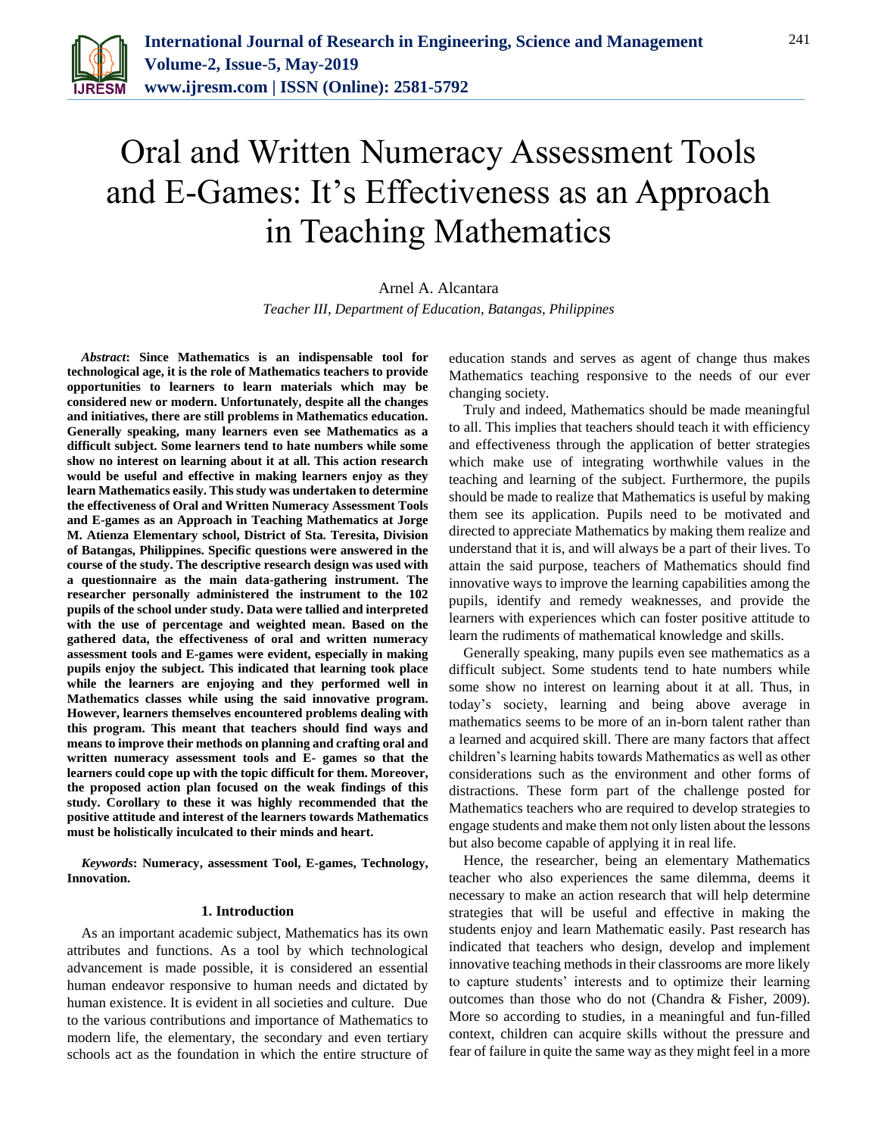

# Oral and Written Numeracy Assessment Tools and E-Games: It's Effectiveness as an Approach in Teaching Mathematics

Arnel A. Alcantara *Teacher III, Department of Education, Batangas, Philippines*

*Abstract***: Since Mathematics is an indispensable tool for technological age, it is the role of Mathematics teachers to provide opportunities to learners to learn materials which may be considered new or modern. Unfortunately, despite all the changes and initiatives, there are still problems in Mathematics education. Generally speaking, many learners even see Mathematics as a difficult subject. Some learners tend to hate numbers while some show no interest on learning about it at all. This action research would be useful and effective in making learners enjoy as they learn Mathematics easily. This study was undertaken to determine the effectiveness of Oral and Written Numeracy Assessment Tools and E-games as an Approach in Teaching Mathematics at Jorge M. Atienza Elementary school, District of Sta. Teresita, Division of Batangas, Philippines. Specific questions were answered in the course of the study. The descriptive research design was used with a questionnaire as the main data-gathering instrument. The researcher personally administered the instrument to the 102 pupils of the school under study. Data were tallied and interpreted with the use of percentage and weighted mean. Based on the gathered data, the effectiveness of oral and written numeracy assessment tools and E-games were evident, especially in making pupils enjoy the subject. This indicated that learning took place while the learners are enjoying and they performed well in Mathematics classes while using the said innovative program. However, learners themselves encountered problems dealing with this program. This meant that teachers should find ways and means to improve their methods on planning and crafting oral and written numeracy assessment tools and E- games so that the learners could cope up with the topic difficult for them. Moreover, the proposed action plan focused on the weak findings of this study. Corollary to these it was highly recommended that the positive attitude and interest of the learners towards Mathematics must be holistically inculcated to their minds and heart.**

*Keywords***: Numeracy, assessment Tool, E-games, Technology, Innovation.**

#### **1. Introduction**

As an important academic subject, Mathematics has its own attributes and functions. As a tool by which technological advancement is made possible, it is considered an essential human endeavor responsive to human needs and dictated by human existence. It is evident in all societies and culture. Due to the various contributions and importance of Mathematics to modern life, the elementary, the secondary and even tertiary schools act as the foundation in which the entire structure of education stands and serves as agent of change thus makes Mathematics teaching responsive to the needs of our ever changing society.

Truly and indeed, Mathematics should be made meaningful to all. This implies that teachers should teach it with efficiency and effectiveness through the application of better strategies which make use of integrating worthwhile values in the teaching and learning of the subject. Furthermore, the pupils should be made to realize that Mathematics is useful by making them see its application. Pupils need to be motivated and directed to appreciate Mathematics by making them realize and understand that it is, and will always be a part of their lives. To attain the said purpose, teachers of Mathematics should find innovative ways to improve the learning capabilities among the pupils, identify and remedy weaknesses, and provide the learners with experiences which can foster positive attitude to learn the rudiments of mathematical knowledge and skills.

Generally speaking, many pupils even see mathematics as a difficult subject. Some students tend to hate numbers while some show no interest on learning about it at all. Thus, in today's society, learning and being above average in mathematics seems to be more of an in-born talent rather than a learned and acquired skill. There are many factors that affect children's learning habits towards Mathematics as well as other considerations such as the environment and other forms of distractions. These form part of the challenge posted for Mathematics teachers who are required to develop strategies to engage students and make them not only listen about the lessons but also become capable of applying it in real life.

Hence, the researcher, being an elementary Mathematics teacher who also experiences the same dilemma, deems it necessary to make an action research that will help determine strategies that will be useful and effective in making the students enjoy and learn Mathematic easily. Past research has indicated that teachers who design, develop and implement innovative teaching methods in their classrooms are more likely to capture students' interests and to optimize their learning outcomes than those who do not (Chandra & Fisher, 2009). More so according to studies, in a meaningful and fun-filled context, children can acquire skills without the pressure and fear of failure in quite the same way as they might feel in a more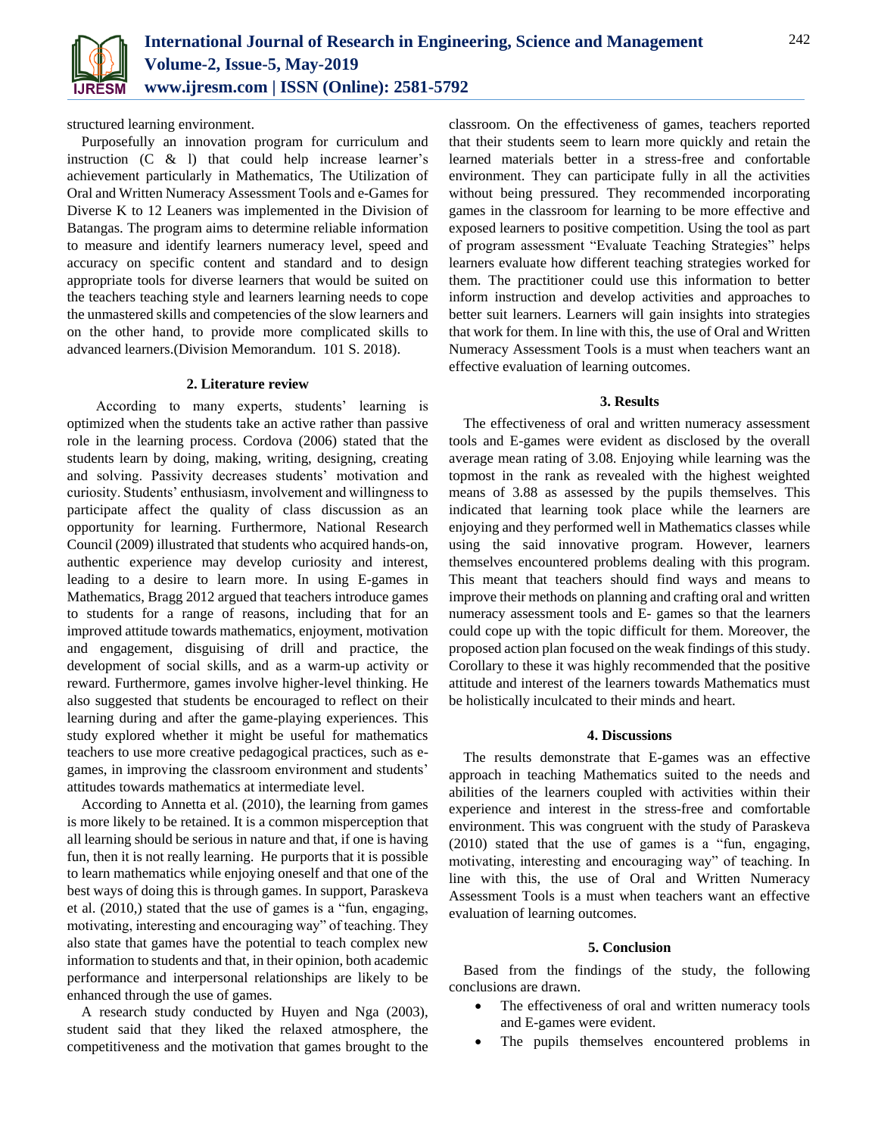

structured learning environment.

Purposefully an innovation program for curriculum and instruction  $(C \& 1)$  that could help increase learner's achievement particularly in Mathematics, The Utilization of Oral and Written Numeracy Assessment Tools and e-Games for Diverse K to 12 Leaners was implemented in the Division of Batangas. The program aims to determine reliable information to measure and identify learners numeracy level, speed and accuracy on specific content and standard and to design appropriate tools for diverse learners that would be suited on the teachers teaching style and learners learning needs to cope the unmastered skills and competencies of the slow learners and on the other hand, to provide more complicated skills to advanced learners.(Division Memorandum. 101 S. 2018).

### **2. Literature review**

According to many experts, students' learning is optimized when the students take an active rather than passive role in the learning process. Cordova (2006) stated that the students learn by doing, making, writing, designing, creating and solving. Passivity decreases students' motivation and curiosity. Students' enthusiasm, involvement and willingness to participate affect the quality of class discussion as an opportunity for learning. Furthermore, National Research Council (2009) illustrated that students who acquired hands-on, authentic experience may develop curiosity and interest, leading to a desire to learn more. In using E-games in Mathematics, Bragg 2012 argued that teachers introduce games to students for a range of reasons, including that for an improved attitude towards mathematics, enjoyment, motivation and engagement, disguising of drill and practice, the development of social skills, and as a warm-up activity or reward. Furthermore, games involve higher-level thinking. He also suggested that students be encouraged to reflect on their learning during and after the game-playing experiences. This study explored whether it might be useful for mathematics teachers to use more creative pedagogical practices, such as egames, in improving the classroom environment and students' attitudes towards mathematics at intermediate level.

According to Annetta et al. (2010), the learning from games is more likely to be retained. It is a common misperception that all learning should be serious in nature and that, if one is having fun, then it is not really learning. He purports that it is possible to learn mathematics while enjoying oneself and that one of the best ways of doing this is through games. In support, Paraskeva et al. (2010,) stated that the use of games is a "fun, engaging, motivating, interesting and encouraging way" of teaching. They also state that games have the potential to teach complex new information to students and that, in their opinion, both academic performance and interpersonal relationships are likely to be enhanced through the use of games.

A research study conducted by Huyen and Nga (2003), student said that they liked the relaxed atmosphere, the competitiveness and the motivation that games brought to the classroom. On the effectiveness of games, teachers reported that their students seem to learn more quickly and retain the learned materials better in a stress-free and confortable environment. They can participate fully in all the activities without being pressured. They recommended incorporating games in the classroom for learning to be more effective and exposed learners to positive competition. Using the tool as part of program assessment "Evaluate Teaching Strategies" helps learners evaluate how different teaching strategies worked for them. The practitioner could use this information to better inform instruction and develop activities and approaches to better suit learners. Learners will gain insights into strategies that work for them. In line with this, the use of Oral and Written Numeracy Assessment Tools is a must when teachers want an effective evaluation of learning outcomes.

# **3. Results**

The effectiveness of oral and written numeracy assessment tools and E-games were evident as disclosed by the overall average mean rating of 3.08. Enjoying while learning was the topmost in the rank as revealed with the highest weighted means of 3.88 as assessed by the pupils themselves. This indicated that learning took place while the learners are enjoying and they performed well in Mathematics classes while using the said innovative program. However, learners themselves encountered problems dealing with this program. This meant that teachers should find ways and means to improve their methods on planning and crafting oral and written numeracy assessment tools and E- games so that the learners could cope up with the topic difficult for them. Moreover, the proposed action plan focused on the weak findings of this study. Corollary to these it was highly recommended that the positive attitude and interest of the learners towards Mathematics must be holistically inculcated to their minds and heart.

### **4. Discussions**

The results demonstrate that E-games was an effective approach in teaching Mathematics suited to the needs and abilities of the learners coupled with activities within their experience and interest in the stress-free and comfortable environment. This was congruent with the study of Paraskeva (2010) stated that the use of games is a "fun, engaging, motivating, interesting and encouraging way" of teaching. In line with this, the use of Oral and Written Numeracy Assessment Tools is a must when teachers want an effective evaluation of learning outcomes.

# **5. Conclusion**

Based from the findings of the study, the following conclusions are drawn.

- The effectiveness of oral and written numeracy tools and E-games were evident.
- The pupils themselves encountered problems in